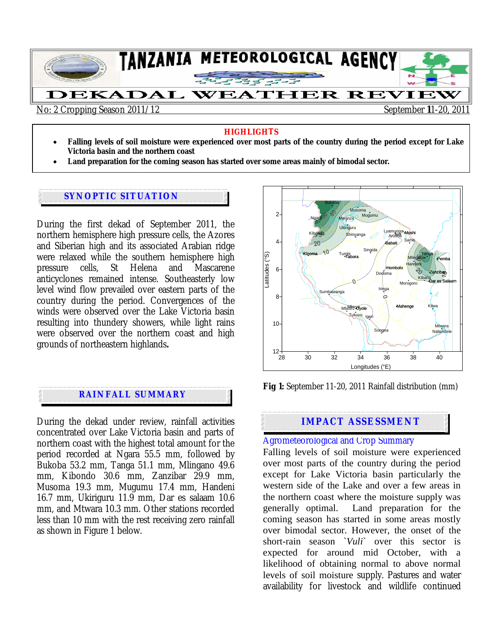

#### **HIGHLIGHTS**

- **Falling levels of soil moisture were experienced over most parts of the country during the period except for Lake Victoria basin and the northern coast**
- **Land preparation for the coming season has started over some areas mainly of bimodal sector.**

#### **SYNOPTIC SITUATION**

During the first dekad of September 2011, the northern hemisphere high pressure cells, the Azores and Siberian high and its associated Arabian ridge were relaxed while the southern hemisphere high pressure cells, St Helena and Mascarene anticyclones remained intense. Southeasterly low level wind flow prevailed over eastern parts of the country during the period. Convergences of the winds were observed over the Lake Victoria basin resulting into thundery showers, while light rains were observed over the northern coast and high grounds of northeastern highlands**.** 

### **RAINFALL SUMMARY**

During the dekad under review, rainfall activities concentrated over Lake Victoria basin and parts of northern coast with the highest total amount for the period recorded at Ngara 55.5 mm, followed by Bukoba 53.2 mm, Tanga 51.1 mm, Mlingano 49.6 mm, Kibondo 30.6 mm, Zanzibar 29.9 mm, Musoma 19.3 mm, Mugumu 17.4 mm, Handeni 16.7 mm, Ukiriguru 11.9 mm, Dar es salaam 10.6 mm, and Mtwara 10.3 mm. Other stations recorded less than 10 mm with the rest receiving zero rainfall as shown in Figure 1 below.



**Fig 1:** September 11-20, 2011 Rainfall distribution (mm)

#### **IMPACT ASSESSMENT**

#### Agrometeorological and Crop Summary

Falling levels of soil moisture were experienced over most parts of the country during the period except for Lake Victoria basin particularly the western side of the Lake and over a few areas in the northern coast where the moisture supply was generally optimal. Land preparation for the coming season has started in some areas mostly over bimodal sector. However, the onset of the short-rain season `*Vuli*` over this sector is expected for around mid October, with a likelihood of obtaining normal to above normal levels of soil moisture supply. Pastures and water availability for livestock and wildlife continued